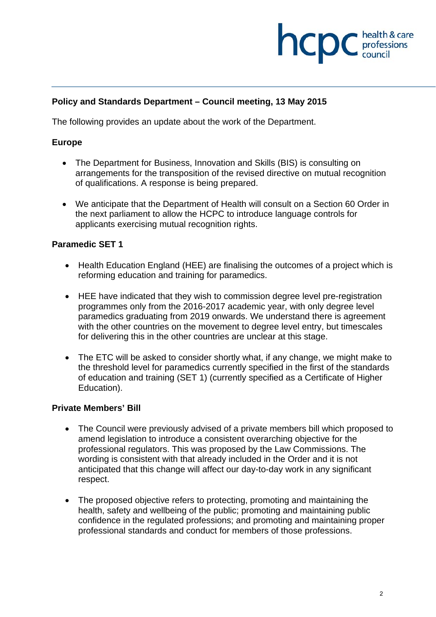

# **Policy and Standards Department – Council meeting, 13 May 2015**

The following provides an update about the work of the Department.

#### **Europe**

- The Department for Business, Innovation and Skills (BIS) is consulting on arrangements for the transposition of the revised directive on mutual recognition of qualifications. A response is being prepared.
- We anticipate that the Department of Health will consult on a Section 60 Order in the next parliament to allow the HCPC to introduce language controls for applicants exercising mutual recognition rights.

## **Paramedic SET 1**

- Health Education England (HEE) are finalising the outcomes of a project which is reforming education and training for paramedics.
- HEE have indicated that they wish to commission degree level pre-registration programmes only from the 2016-2017 academic year, with only degree level paramedics graduating from 2019 onwards. We understand there is agreement with the other countries on the movement to degree level entry, but timescales for delivering this in the other countries are unclear at this stage.
- The ETC will be asked to consider shortly what, if any change, we might make to the threshold level for paramedics currently specified in the first of the standards of education and training (SET 1) (currently specified as a Certificate of Higher Education).

#### **Private Members' Bill**

- The Council were previously advised of a private members bill which proposed to amend legislation to introduce a consistent overarching objective for the professional regulators. This was proposed by the Law Commissions. The wording is consistent with that already included in the Order and it is not anticipated that this change will affect our day-to-day work in any significant respect.
- The proposed objective refers to protecting, promoting and maintaining the health, safety and wellbeing of the public; promoting and maintaining public confidence in the regulated professions; and promoting and maintaining proper professional standards and conduct for members of those professions.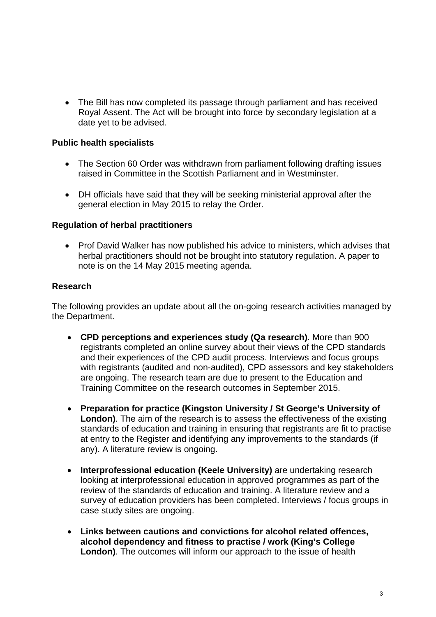• The Bill has now completed its passage through parliament and has received Royal Assent. The Act will be brought into force by secondary legislation at a date yet to be advised.

### **Public health specialists**

- The Section 60 Order was withdrawn from parliament following drafting issues raised in Committee in the Scottish Parliament and in Westminster.
- DH officials have said that they will be seeking ministerial approval after the general election in May 2015 to relay the Order.

## **Regulation of herbal practitioners**

• Prof David Walker has now published his advice to ministers, which advises that herbal practitioners should not be brought into statutory regulation. A paper to note is on the 14 May 2015 meeting agenda.

## **Research**

The following provides an update about all the on-going research activities managed by the Department.

- **CPD perceptions and experiences study (Qa research)**. More than 900 registrants completed an online survey about their views of the CPD standards and their experiences of the CPD audit process. Interviews and focus groups with registrants (audited and non-audited), CPD assessors and key stakeholders are ongoing. The research team are due to present to the Education and Training Committee on the research outcomes in September 2015.
- **Preparation for practice (Kingston University / St George's University of London)**. The aim of the research is to assess the effectiveness of the existing standards of education and training in ensuring that registrants are fit to practise at entry to the Register and identifying any improvements to the standards (if any). A literature review is ongoing.
- **Interprofessional education (Keele University)** are undertaking research looking at interprofessional education in approved programmes as part of the review of the standards of education and training. A literature review and a survey of education providers has been completed. Interviews / focus groups in case study sites are ongoing.
- **Links between cautions and convictions for alcohol related offences, alcohol dependency and fitness to practise / work (King's College London)**. The outcomes will inform our approach to the issue of health